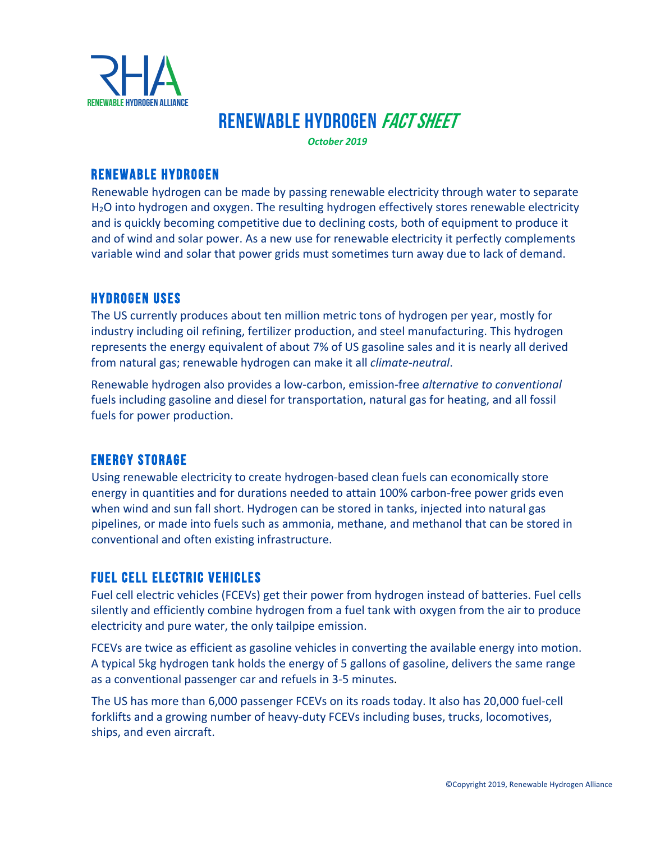

# RENEWABLE HYDROGEN FACT SHEET

*October 2019*

### Renewable Hydrogen

Renewable hydrogen can be made by passing renewable electricity through water to separate H2O into hydrogen and oxygen. The resulting hydrogen effectively stores renewable electricity and is quickly becoming competitive due to declining costs, both of equipment to produce it and of wind and solar power. As a new use for renewable electricity it perfectly complements variable wind and solar that power grids must sometimes turn away due to lack of demand.

#### Hydrogen Uses

The US currently produces about ten million metric tons of hydrogen per year, mostly for industry including oil refining, fertilizer production, and steel manufacturing. This hydrogen represents the energy equivalent of about 7% of US gasoline sales and it is nearly all derived from natural gas; renewable hydrogen can make it all *climate-neutral*.

Renewable hydrogen also provides a low-carbon, emission-free *alternative to conventional* fuels including gasoline and diesel for transportation, natural gas for heating, and all fossil fuels for power production.

### Energy Storage

Using renewable electricity to create hydrogen-based clean fuels can economically store energy in quantities and for durations needed to attain 100% carbon-free power grids even when wind and sun fall short. Hydrogen can be stored in tanks, injected into natural gas pipelines, or made into fuels such as ammonia, methane, and methanol that can be stored in conventional and often existing infrastructure.

### Fuel Cell Electric Vehicles

Fuel cell electric vehicles (FCEVs) get their power from hydrogen instead of batteries. Fuel cells silently and efficiently combine hydrogen from a fuel tank with oxygen from the air to produce electricity and pure water, the only tailpipe emission.

FCEVs are twice as efficient as gasoline vehicles in converting the available energy into motion. A typical 5kg hydrogen tank holds the energy of 5 gallons of gasoline, delivers the same range as a conventional passenger car and refuels in 3-5 minutes.

The US has more than 6,000 passenger FCEVs on its roads today. It also has 20,000 fuel-cell forklifts and a growing number of heavy-duty FCEVs including buses, trucks, locomotives, ships, and even aircraft.